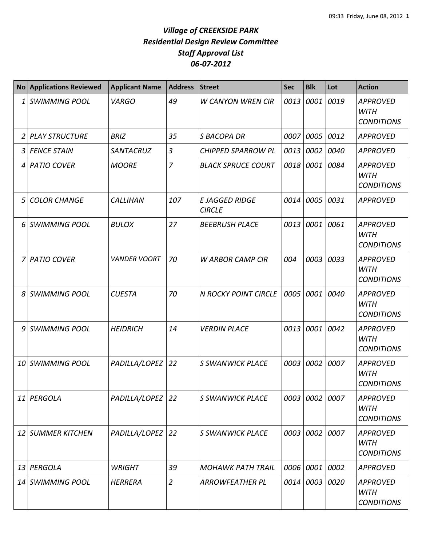| No <sub>1</sub> | <b>Applications Reviewed</b> | <b>Applicant Name</b> | <b>Address</b> | <b>Street</b>                          | <b>Sec</b> | <b>Blk</b> | Lot  | <b>Action</b>                                       |
|-----------------|------------------------------|-----------------------|----------------|----------------------------------------|------------|------------|------|-----------------------------------------------------|
| 1               | SWIMMING POOL                | <b>VARGO</b>          | 49             | <b>W CANYON WREN CIR</b>               | 0013       | 0001       | 0019 | <b>APPROVED</b><br><b>WITH</b><br><b>CONDITIONS</b> |
| 2               | PLAY STRUCTURE               | <b>BRIZ</b>           | 35             | <b>S BACOPA DR</b>                     | 0007       | 0005 0012  |      | <b>APPROVED</b>                                     |
| 3               | <b>FENCE STAIN</b>           | SANTACRUZ             | $\overline{3}$ | <b>CHIPPED SPARROW PL</b>              | 0013       | 0002       | 0040 | <b>APPROVED</b>                                     |
|                 | 4 PATIO COVER                | <b>MOORE</b>          | $\overline{7}$ | <b>BLACK SPRUCE COURT</b>              | 0018       | 0001       | 0084 | <b>APPROVED</b><br>WITH<br><b>CONDITIONS</b>        |
| 5               | <b>COLOR CHANGE</b>          | <b>CALLIHAN</b>       | 107            | <b>E JAGGED RIDGE</b><br><b>CIRCLE</b> | 0014       | 0005       | 0031 | APPROVED                                            |
|                 | 6 SWIMMING POOL              | <b>BULOX</b>          | 27             | <b>BEEBRUSH PLACE</b>                  | 0013       | 0001       | 0061 | <b>APPROVED</b><br><b>WITH</b><br><b>CONDITIONS</b> |
| 7               | <b>PATIO COVER</b>           | <b>VANDER VOORT</b>   | 70             | <b>W ARBOR CAMP CIR</b>                | 004        | 0003       | 0033 | <b>APPROVED</b><br><b>WITH</b><br><b>CONDITIONS</b> |
| 8               | <b>SWIMMING POOL</b>         | <b>CUESTA</b>         | 70             | <b>N ROCKY POINT CIRCLE</b>            | 0005       | 0001       | 0040 | <b>APPROVED</b><br><b>WITH</b><br><b>CONDITIONS</b> |
| 9               | SWIMMING POOL                | <b>HEIDRICH</b>       | 14             | <b>VERDIN PLACE</b>                    | 0013       | 0001 0042  |      | <b>APPROVED</b><br><b>WITH</b><br><b>CONDITIONS</b> |
|                 | 10 SWIMMING POOL             | PADILLA/LOPEZ         | 22             | <b>S SWANWICK PLACE</b>                | 0003       | 0002       | 0007 | <b>APPROVED</b><br><b>WITH</b><br><b>CONDITIONS</b> |
|                 | 11 PERGOLA                   | PADILLA/LOPEZ         | 22             | <b>S SWANWICK PLACE</b>                | 0003       | 0002       | 0007 | <b>APPROVED</b><br><b>WITH</b><br><b>CONDITIONS</b> |
|                 | 12 SUMMER KITCHEN            | PADILLA/LOPEZ         | 22             | <b>S SWANWICK PLACE</b>                | 0003       | 0002 0007  |      | <b>APPROVED</b><br><b>WITH</b><br><b>CONDITIONS</b> |
| 13              | PERGOLA                      | <b>WRIGHT</b>         | 39             | <b>MOHAWK PATH TRAIL</b>               | 0006       | 0001 0002  |      | <b>APPROVED</b>                                     |
|                 | 14 SWIMMING POOL             | <b>HERRERA</b>        | $\overline{2}$ | <b>ARROWFEATHER PL</b>                 | 0014       | 0003 0020  |      | <b>APPROVED</b><br><b>WITH</b><br><b>CONDITIONS</b> |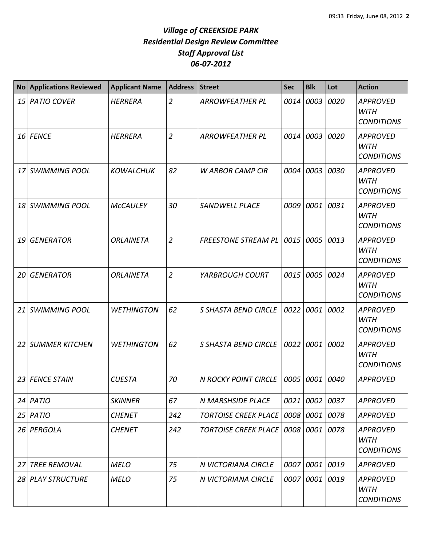| <b>No</b>       | <b>Applications Reviewed</b> | <b>Applicant Name</b> | <b>Address</b> | <b>Street</b>                        | <b>Sec</b> | <b>Blk</b> | Lot  | <b>Action</b>                                       |
|-----------------|------------------------------|-----------------------|----------------|--------------------------------------|------------|------------|------|-----------------------------------------------------|
| 15 <sup>1</sup> | <b>PATIO COVER</b>           | <b>HERRERA</b>        | $\overline{2}$ | <b>ARROWFEATHER PL</b>               | 0014       | 0003       | 0020 | <b>APPROVED</b><br><b>WITH</b><br><b>CONDITIONS</b> |
|                 | 16 FENCE                     | <b>HERRERA</b>        | $\overline{2}$ | <b>ARROWFEATHER PL</b>               | 0014       | 0003       | 0020 | <b>APPROVED</b><br><b>WITH</b><br><b>CONDITIONS</b> |
| 17              | <b>SWIMMING POOL</b>         | <b>KOWALCHUK</b>      | 82             | <b>W ARBOR CAMP CIR</b>              | 0004       | 0003       | 0030 | <b>APPROVED</b><br><b>WITH</b><br><b>CONDITIONS</b> |
| 18              | <b>SWIMMING POOL</b>         | <b>McCAULEY</b>       | 30             | <b>SANDWELL PLACE</b>                | 0009       | 0001       | 0031 | <b>APPROVED</b><br><b>WITH</b><br><b>CONDITIONS</b> |
| 19              | <b>GENERATOR</b>             | <b>ORLAINETA</b>      | $\overline{2}$ | <b>FREESTONE STREAM PL</b>           | 0015       | 0005       | 0013 | <b>APPROVED</b><br><b>WITH</b><br><b>CONDITIONS</b> |
| 20              | <b>GENERATOR</b>             | <b>ORLAINETA</b>      | $\overline{2}$ | YARBROUGH COURT                      | 0015       | 0005       | 0024 | <b>APPROVED</b><br><b>WITH</b><br><b>CONDITIONS</b> |
| 21              | <b>SWIMMING POOL</b>         | <b>WETHINGTON</b>     | 62             | S SHASTA BEND CIRCLE                 | 0022       | 0001       | 0002 | <b>APPROVED</b><br><b>WITH</b><br><b>CONDITIONS</b> |
| 22              | <b>SUMMER KITCHEN</b>        | <b>WETHINGTON</b>     | 62             | <b>S SHASTA BEND CIRCLE</b>          | 0022       | 0001       | 0002 | <b>APPROVED</b><br><b>WITH</b><br><b>CONDITIONS</b> |
| 23              | <b>FENCE STAIN</b>           | <b>CUESTA</b>         | 70             | <b>N ROCKY POINT CIRCLE</b>          | 0005       | 0001       | 0040 | <b>APPROVED</b>                                     |
| 24 I            | PATIO                        | <b>SKINNER</b>        | 67             | <b>N MARSHSIDE PLACE</b>             | 0021       | 0002 0037  |      | <b>APPROVED</b>                                     |
| 25              | <b>PATIO</b>                 | <b>CHENET</b>         | 242            | <b>TORTOISE CREEK PLACE</b>          | 0008       | 0001 0078  |      | <b>APPROVED</b>                                     |
| 26              | PERGOLA                      | <b>CHENET</b>         | 242            | <b>TORTOISE CREEK PLACE   0008  </b> |            | 0001 0078  |      | <b>APPROVED</b><br>WITH<br><b>CONDITIONS</b>        |
| 27              | <b>TREE REMOVAL</b>          | <b>MELO</b>           | 75             | N VICTORIANA CIRCLE                  | 0007       | 0001 0019  |      | <b>APPROVED</b>                                     |
| 28              | <b>PLAY STRUCTURE</b>        | <b>MELO</b>           | 75             | N VICTORIANA CIRCLE                  | 0007       | 0001 0019  |      | <b>APPROVED</b><br><b>WITH</b><br><b>CONDITIONS</b> |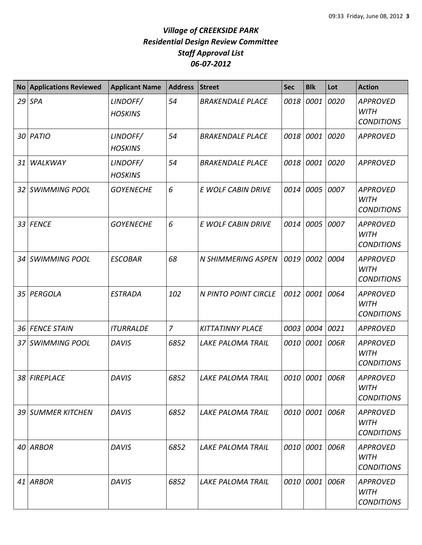| <b>No</b> | <b>Applications Reviewed</b> | <b>Applicant Name</b>      | <b>Address</b> | <b>Street</b>            | <b>Sec</b> | <b>Blk</b>     | Lot  | <b>Action</b>                                       |
|-----------|------------------------------|----------------------------|----------------|--------------------------|------------|----------------|------|-----------------------------------------------------|
|           | $29$ SPA                     | LINDOFF/<br><b>HOSKINS</b> | 54             | <b>BRAKENDALE PLACE</b>  | 0018       | 0001           | 0020 | <b>APPROVED</b><br><b>WITH</b><br><b>CONDITIONS</b> |
|           | 30 PATIO                     | LINDOFF/<br><b>HOSKINS</b> | 54             | <b>BRAKENDALE PLACE</b>  | 0018       | 0001           | 0020 | <b>APPROVED</b>                                     |
| 31        | WALKWAY                      | LINDOFF/<br><b>HOSKINS</b> | 54             | <b>BRAKENDALE PLACE</b>  | 0018       | 0001           | 0020 | <b>APPROVED</b>                                     |
| 32        | <b>SWIMMING POOL</b>         | <b>GOYENECHE</b>           | 6              | E WOLF CABIN DRIVE       | 0014       | 0005           | 0007 | <b>APPROVED</b><br><b>WITH</b><br><b>CONDITIONS</b> |
| 33        | <b>FENCE</b>                 | <b>GOYENECHE</b>           | 6              | E WOLF CABIN DRIVE       | 0014       | 0005           | 0007 | <b>APPROVED</b><br><b>WITH</b><br><b>CONDITIONS</b> |
| 34        | <b>SWIMMING POOL</b>         | <b>ESCOBAR</b>             | 68             | N SHIMMERING ASPEN       | 0019       | 0002           | 0004 | <b>APPROVED</b><br><b>WITH</b><br><b>CONDITIONS</b> |
| 35        | PERGOLA                      | <b>ESTRADA</b>             | 102            | N PINTO POINT CIRCLE     | 0012       | 0001           | 0064 | <b>APPROVED</b><br><b>WITH</b><br><b>CONDITIONS</b> |
| 36        | <b>FENCE STAIN</b>           | <b>ITURRALDE</b>           | $\overline{z}$ | <b>KITTATINNY PLACE</b>  | 0003       | 0004           | 0021 | <b>APPROVED</b>                                     |
| 37        | <b>SWIMMING POOL</b>         | <b>DAVIS</b>               | 6852           | <b>LAKE PALOMA TRAIL</b> | 0010       | 0001           | 006R | <b>APPROVED</b><br><b>WITH</b><br><b>CONDITIONS</b> |
| 38        | <b>FIREPLACE</b>             | <b>DAVIS</b>               | 6852           | <b>LAKE PALOMA TRAIL</b> | 0010       | 0001           | 006R | <b>APPROVED</b><br><b>WITH</b><br><b>CONDITIONS</b> |
|           | 39 SUMMER KITCHEN            | <b>DAVIS</b>               | 6852           | <b>LAKE PALOMA TRAIL</b> |            | 0010 0001 006R |      | <b>APPROVED</b><br><b>WITH</b><br><b>CONDITIONS</b> |
|           | 40 ARBOR                     | <b>DAVIS</b>               | 6852           | <b>LAKE PALOMA TRAIL</b> | 0010       | 0001 006R      |      | APPROVED<br><b>WITH</b><br><b>CONDITIONS</b>        |
| 41        | <b>ARBOR</b>                 | <b>DAVIS</b>               | 6852           | <b>LAKE PALOMA TRAIL</b> | 0010       | 0001 006R      |      | APPROVED<br><b>WITH</b><br><b>CONDITIONS</b>        |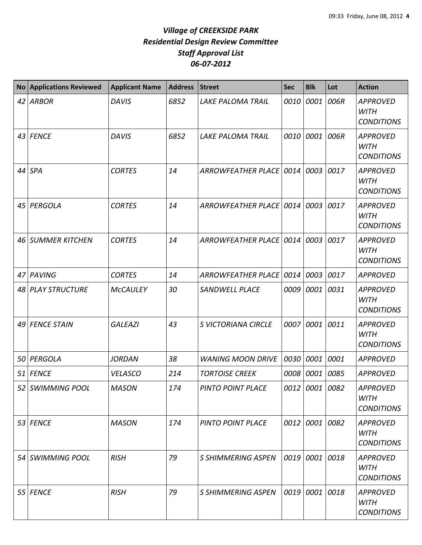| <b>No</b> | <b>Applications Reviewed</b> | <b>Applicant Name</b> | <b>Address</b> | <b>Street</b>             | <b>Sec</b> | <b>Blk</b>     | Lot  | <b>Action</b>                                       |
|-----------|------------------------------|-----------------------|----------------|---------------------------|------------|----------------|------|-----------------------------------------------------|
| 42        | <b>ARBOR</b>                 | <b>DAVIS</b>          | 6852           | <b>LAKE PALOMA TRAIL</b>  | 0010       | 0001           | 006R | <b>APPROVED</b><br><b>WITH</b><br><b>CONDITIONS</b> |
|           | 43 FENCE                     | <b>DAVIS</b>          | 6852           | <b>LAKE PALOMA TRAIL</b>  | 0010       | 0001           | 006R | <b>APPROVED</b><br><b>WITH</b><br><b>CONDITIONS</b> |
|           | 44 SPA                       | <b>CORTES</b>         | 14             | ARROWFEATHER PLACE   0014 |            | 0003           | 0017 | <b>APPROVED</b><br><b>WITH</b><br><b>CONDITIONS</b> |
| 45        | PERGOLA                      | <b>CORTES</b>         | 14             | ARROWFEATHER PLACE 0014   |            | 0003           | 0017 | <b>APPROVED</b><br><b>WITH</b><br><b>CONDITIONS</b> |
| 46        | <b>SUMMER KITCHEN</b>        | <b>CORTES</b>         | 14             | ARROWFEATHER PLACE 0014   |            | 0003           | 0017 | <b>APPROVED</b><br><b>WITH</b><br><b>CONDITIONS</b> |
| 47        | PAVING                       | <b>CORTES</b>         | 14             | ARROWFEATHER PLACE 0014   |            | 0003           | 0017 | <b>APPROVED</b>                                     |
| 48        | <b>PLAY STRUCTURE</b>        | <b>McCAULEY</b>       | 30             | <b>SANDWELL PLACE</b>     | 0009       | 0001           | 0031 | <b>APPROVED</b><br><b>WITH</b><br><b>CONDITIONS</b> |
| 49        | <b>FENCE STAIN</b>           | <b>GALEAZI</b>        | 43             | S VICTORIANA CIRCLE       | 0007       | 0001           | 0011 | <b>APPROVED</b><br><b>WITH</b><br><b>CONDITIONS</b> |
| 50        | PERGOLA                      | <b>JORDAN</b>         | 38             | <b>WANING MOON DRIVE</b>  | 0030       | 0001           | 0001 | <b>APPROVED</b>                                     |
| 51 I      | <b>FENCE</b>                 | <b>VELASCO</b>        | 214            | <b>TORTOISE CREEK</b>     | 0008       | 0001           | 0085 | <b>APPROVED</b>                                     |
|           | 52 SWIMMING POOL             | <b>MASON</b>          | 174            | PINTO POINT PLACE         |            | 0012 0001 0082 |      | <b>APPROVED</b><br><b>WITH</b><br><b>CONDITIONS</b> |
|           | 53 FENCE                     | <b>MASON</b>          | 174            | PINTO POINT PLACE         |            | 0012 0001      | 0082 | <b>APPROVED</b><br><b>WITH</b><br><b>CONDITIONS</b> |
|           | 54 SWIMMING POOL             | <b>RISH</b>           | 79             | S SHIMMERING ASPEN        |            | 0019 0001      | 0018 | <b>APPROVED</b><br><b>WITH</b><br><b>CONDITIONS</b> |
|           | 55 FENCE                     | <b>RISH</b>           | 79             | S SHIMMERING ASPEN        |            | 0019 0001      | 0018 | <b>APPROVED</b><br><b>WITH</b><br><b>CONDITIONS</b> |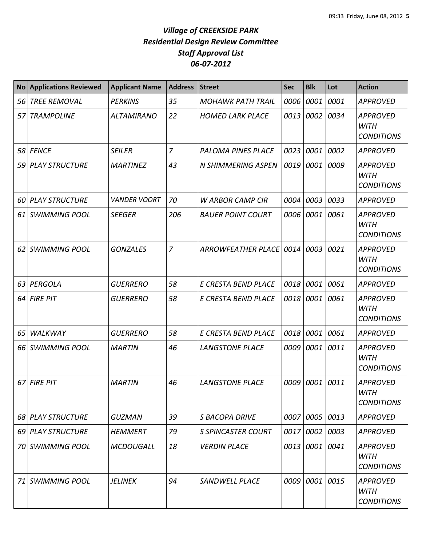| <b>No</b> | <b>Applications Reviewed</b> | <b>Applicant Name</b> | <b>Address</b> | <b>Street</b>             | <b>Sec</b> | <b>Blk</b> | Lot  | <b>Action</b>                                       |
|-----------|------------------------------|-----------------------|----------------|---------------------------|------------|------------|------|-----------------------------------------------------|
| 56        | <b>TREE REMOVAL</b>          | <b>PERKINS</b>        | 35             | <b>MOHAWK PATH TRAIL</b>  | 0006       | 0001       | 0001 | <b>APPROVED</b>                                     |
| 57        | <b>TRAMPOLINE</b>            | <b>ALTAMIRANO</b>     | 22             | <b>HOMED LARK PLACE</b>   | 0013       | 0002       | 0034 | <b>APPROVED</b><br><b>WITH</b><br><b>CONDITIONS</b> |
| 58        | <b>FENCE</b>                 | <b>SEILER</b>         | $\overline{7}$ | <b>PALOMA PINES PLACE</b> | 0023       | 0001       | 0002 | <b>APPROVED</b>                                     |
| 59        | <b>PLAY STRUCTURE</b>        | <b>MARTINEZ</b>       | 43             | N SHIMMERING ASPEN        | 0019       | 0001       | 0009 | <b>APPROVED</b><br><b>WITH</b><br><b>CONDITIONS</b> |
| 60        | <b>PLAY STRUCTURE</b>        | <b>VANDER VOORT</b>   | 70             | <b>W ARBOR CAMP CIR</b>   | 0004       | 0003       | 0033 | <b>APPROVED</b>                                     |
| 61        | <b>SWIMMING POOL</b>         | <b>SEEGER</b>         | 206            | <b>BAUER POINT COURT</b>  | 0006       | 0001       | 0061 | <b>APPROVED</b><br><b>WITH</b><br><b>CONDITIONS</b> |
| 62        | <b>SWIMMING POOL</b>         | <b>GONZALES</b>       | 7              | ARROWFEATHER PLACE 0014   |            | 0003       | 0021 | <b>APPROVED</b><br><b>WITH</b><br><b>CONDITIONS</b> |
| 63        | PERGOLA                      | <b>GUERRERO</b>       | 58             | E CRESTA BEND PLACE       | 0018       | 0001       | 0061 | <b>APPROVED</b>                                     |
| 64        | <b>FIRE PIT</b>              | <b>GUERRERO</b>       | 58             | E CRESTA BEND PLACE       | 0018       | 0001       | 0061 | <b>APPROVED</b><br><b>WITH</b><br><b>CONDITIONS</b> |
| 65        | WALKWAY                      | <b>GUERRERO</b>       | 58             | E CRESTA BEND PLACE       | 0018       | 0001       | 0061 | <b>APPROVED</b>                                     |
| 66        | <b>SWIMMING POOL</b>         | <b>MARTIN</b>         | 46             | <b>LANGSTONE PLACE</b>    | 0009       | 0001       | 0011 | <b>APPROVED</b><br><b>WITH</b><br><b>CONDITIONS</b> |
| 67        | <b>FIRE PIT</b>              | <b>MARTIN</b>         | 46             | <b>LANGSTONE PLACE</b>    | 0009       | 0001       | 0011 | <b>APPROVED</b><br><b>WITH</b><br><b>CONDITIONS</b> |
| 68        | <b>PLAY STRUCTURE</b>        | <b>GUZMAN</b>         | 39             | <b>S BACOPA DRIVE</b>     | 0007       | 0005 0013  |      | <b>APPROVED</b>                                     |
| 69        | <b>PLAY STRUCTURE</b>        | HEMMERT               | 79             | S SPINCASTER COURT        | 0017       | 0002 0003  |      | APPROVED                                            |
| 70 I      | <b>SWIMMING POOL</b>         | <b>MCDOUGALL</b>      | 18             | <b>VERDIN PLACE</b>       | 0013       | 0001       | 0041 | <b>APPROVED</b><br><b>WITH</b><br><b>CONDITIONS</b> |
| 71        | <b>SWIMMING POOL</b>         | <b>JELINEK</b>        | 94             | <b>SANDWELL PLACE</b>     | 0009       | 0001 0015  |      | APPROVED<br>WITH<br><b>CONDITIONS</b>               |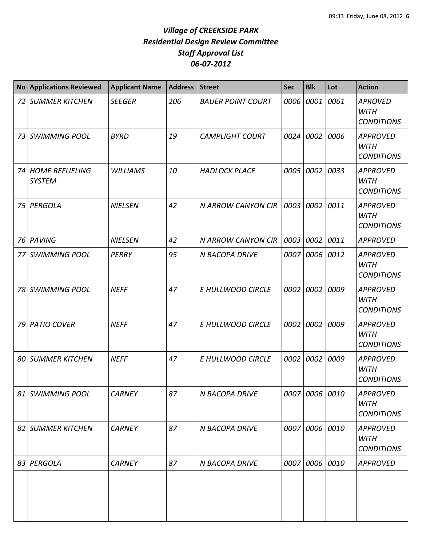| <b>No</b> | <b>Applications Reviewed</b>       | <b>Applicant Name</b> | <b>Address</b> | <b>Street</b>             | <b>Sec</b> | <b>Blk</b>     | Lot  | <b>Action</b>                                       |
|-----------|------------------------------------|-----------------------|----------------|---------------------------|------------|----------------|------|-----------------------------------------------------|
|           | <b>72 SUMMER KITCHEN</b>           | <b>SEEGER</b>         | 206            | <b>BAUER POINT COURT</b>  | 0006       | 0001           | 0061 | <b>APROVED</b><br><b>WITH</b><br><b>CONDITIONS</b>  |
|           | 73 SWIMMING POOL                   | <b>BYRD</b>           | 19             | <b>CAMPLIGHT COURT</b>    |            | 0024 0002      | 0006 | <b>APPROVED</b><br><b>WITH</b><br><b>CONDITIONS</b> |
|           | 74 HOME REFUELING<br><b>SYSTEM</b> | <b>WILLIAMS</b>       | 10             | <b>HADLOCK PLACE</b>      |            | 0005 0002 0033 |      | <b>APPROVED</b><br><b>WITH</b><br><b>CONDITIONS</b> |
|           | 75 PERGOLA                         | <b>NIELSEN</b>        | 42             | <b>N ARROW CANYON CIR</b> | 0003       | 0002           | 0011 | <b>APPROVED</b><br><b>WITH</b><br><b>CONDITIONS</b> |
|           | 76 PAVING                          | <b>NIELSEN</b>        | 42             | N ARROW CANYON CIR        |            | 0003 0002      | 0011 | <b>APPROVED</b>                                     |
|           | 77 SWIMMING POOL                   | PERRY                 | 95             | N BACOPA DRIVE            |            | 0007 0006 0012 |      | <b>APPROVED</b><br><b>WITH</b><br><b>CONDITIONS</b> |
|           | 78 SWIMMING POOL                   | <b>NEFF</b>           | 47             | E HULLWOOD CIRCLE         |            | 0002 0002      | 0009 | <b>APPROVED</b><br><b>WITH</b><br><b>CONDITIONS</b> |
|           | 79 PATIO COVER                     | <b>NEFF</b>           | 47             | E HULLWOOD CIRCLE         |            | 0002 0002      | 0009 | <b>APPROVED</b><br><b>WITH</b><br><b>CONDITIONS</b> |
|           | <b>80 SUMMER KITCHEN</b>           | <b>NEFF</b>           | 47             | E HULLWOOD CIRCLE         |            | 0002 0002      | 0009 | <b>APPROVED</b><br><b>WITH</b><br><b>CONDITIONS</b> |
|           | 81 SWIMMING POOL                   | <b>CARNEY</b>         | 87             | N BACOPA DRIVE            |            | 0007 0006 0010 |      | <b>APPROVED</b><br><b>WITH</b><br><b>CONDITIONS</b> |
|           | 82 SUMMER KITCHEN                  | <b>CARNEY</b>         | 87             | N BACOPA DRIVE            |            | 0007 0006 0010 |      | <b>APPROVED</b><br><b>WITH</b><br><b>CONDITIONS</b> |
|           | 83 PERGOLA                         | <b>CARNEY</b>         | 87             | N BACOPA DRIVE            |            | 0007 0006 0010 |      | <b>APPROVED</b>                                     |
|           |                                    |                       |                |                           |            |                |      |                                                     |